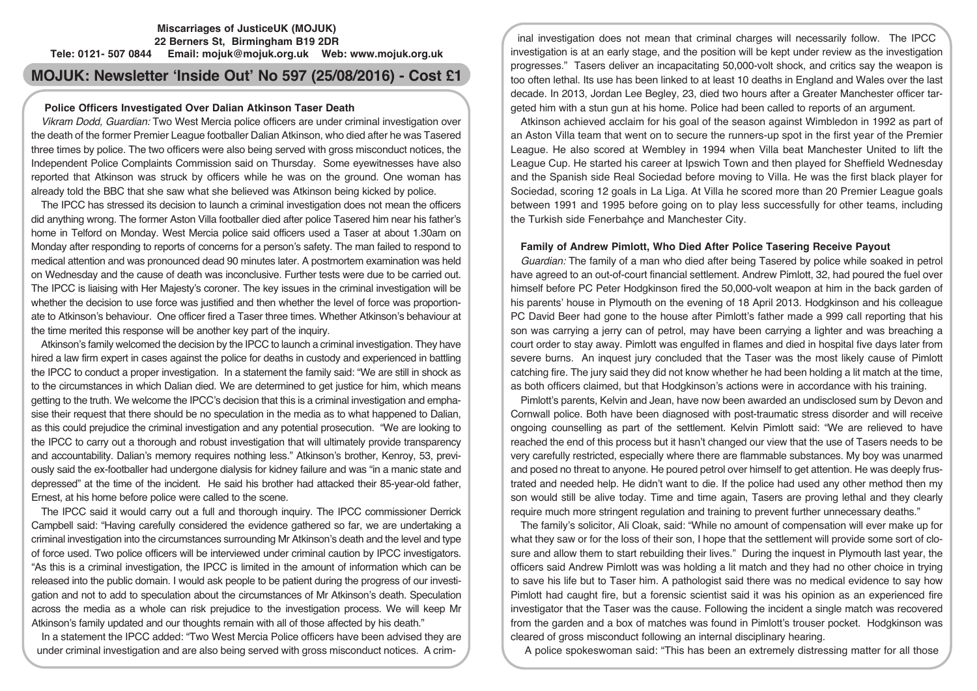# **Miscarriages of JusticeUK (MOJUK) 22 Berners St, Birmingham B19 2DR Tele: 0121- 507 0844 Email: mojuk@mojuk.org.uk Web: www.mojuk.org.uk**

# **MOJUK: Newsletter 'Inside Out' No 597 (25/08/2016) - Cost £1**

# **Police Officers Investigated Over Dalian Atkinson Taser Death**

*Vikram Dodd, Guardian:* Two West Mercia police officers are under criminal investigation over the death of the former Premier League footballer Dalian Atkinson, who died after he was Tasered three times by police. The two officers were also being served with gross misconduct notices, the Independent Police Complaints Commission said on Thursday. Some eyewitnesses have also reported that Atkinson was struck by officers while he was on the ground. One woman has already told the BBC that she saw what she believed was Atkinson being kicked by police.

The IPCC has stressed its decision to launch a criminal investigation does not mean the officers did anything wrong. The former Aston Villa footballer died after police Tasered him near his father's home in Telford on Monday. West Mercia police said officers used a Taser at about 1.30am on Monday after responding to reports of concerns for a person's safety. The man failed to respond to medical attention and was pronounced dead 90 minutes later. A postmortem examination was held on Wednesday and the cause of death was inconclusive. Further tests were due to be carried out. The IPCC is liaising with Her Majesty's coroner. The key issues in the criminal investigation will be whether the decision to use force was justified and then whether the level of force was proportionate to Atkinson's behaviour. One officer fired a Taser three times. Whether Atkinson's behaviour at the time merited this response will be another key part of the inquiry.

Atkinson's family welcomed the decision by the IPCC to launch a criminal investigation. They have hired a law firm expert in cases against the police for deaths in custody and experienced in battling the IPCC to conduct a proper investigation. In a statement the family said: "We are still in shock as to the circumstances in which Dalian died. We are determined to get justice for him, which means getting to the truth. We welcome the IPCC's decision that this is a criminal investigation and emphasise their request that there should be no speculation in the media as to what happened to Dalian, as this could prejudice the criminal investigation and any potential prosecution. "We are looking to the IPCC to carry out a thorough and robust investigation that will ultimately provide transparency and accountability. Dalian's memory requires nothing less." Atkinson's brother, Kenroy, 53, previously said the ex-footballer had undergone dialysis for kidney failure and was "in a manic state and depressed" at the time of the incident. He said his brother had attacked their 85-year-old father, Ernest, at his home before police were called to the scene.

The IPCC said it would carry out a full and thorough inquiry. The IPCC commissioner Derrick Campbell said: "Having carefully considered the evidence gathered so far, we are undertaking a criminal investigation into the circumstances surrounding Mr Atkinson's death and the level and type of force used. Two police officers will be interviewed under criminal caution by IPCC investigators. "As this is a criminal investigation, the IPCC is limited in the amount of information which can be released into the public domain. I would ask people to be patient during the progress of our investigation and not to add to speculation about the circumstances of Mr Atkinson's death. Speculation across the media as a whole can risk prejudice to the investigation process. We will keep Mr Atkinson's family updated and our thoughts remain with all of those affected by his death."

In a statement the IPCC added: "Two West Mercia Police officers have been advised they are under criminal investigation and are also being served with gross misconduct notices. A crim-

inal investigation does not mean that criminal charges will necessarily follow. The IPCC investigation is at an early stage, and the position will be kept under review as the investigation progresses." Tasers deliver an incapacitating 50,000-volt shock, and critics say the weapon is too often lethal. Its use has been linked to at least 10 deaths in England and Wales over the last decade. In 2013, Jordan Lee Begley, 23, died two hours after a Greater Manchester officer targeted him with a stun gun at his home. Police had been called to reports of an argument.

Atkinson achieved acclaim for his goal of the season against Wimbledon in 1992 as part of an Aston Villa team that went on to secure the runners-up spot in the first year of the Premier League. He also scored at Wembley in 1994 when Villa beat Manchester United to lift the League Cup. He started his career at Ipswich Town and then played for Sheffield Wednesday and the Spanish side Real Sociedad before moving to Villa. He was the first black player for Sociedad, scoring 12 goals in La Liga. At Villa he scored more than 20 Premier League goals between 1991 and 1995 before going on to play less successfully for other teams, including the Turkish side Fenerbahçe and Manchester City.

### **Family of Andrew Pimlott, Who Died After Police Tasering Receive Payout**

*Guardian:* The family of a man who died after being Tasered by police while soaked in petrol have agreed to an out-of-court financial settlement. Andrew Pimlott, 32, had poured the fuel over himself before PC Peter Hodgkinson fired the 50,000-volt weapon at him in the back garden of his parents' house in Plymouth on the evening of 18 April 2013. Hodgkinson and his colleague PC David Beer had gone to the house after Pimlott's father made a 999 call reporting that his son was carrying a jerry can of petrol, may have been carrying a lighter and was breaching a court order to stay away. Pimlott was engulfed in flames and died in hospital five days later from severe burns. An inquest jury concluded that the Taser was the most likely cause of Pimlott catching fire. The jury said they did not know whether he had been holding a lit match at the time, as both officers claimed, but that Hodgkinson's actions were in accordance with his training.

Pimlott's parents, Kelvin and Jean, have now been awarded an undisclosed sum by Devon and Cornwall police. Both have been diagnosed with post-traumatic stress disorder and will receive ongoing counselling as part of the settlement. Kelvin Pimlott said: "We are relieved to have reached the end of this process but it hasn't changed our view that the use of Tasers needs to be very carefully restricted, especially where there are flammable substances. My boy was unarmed and posed no threat to anyone. He poured petrol over himself to get attention. He was deeply frustrated and needed help. He didn't want to die. If the police had used any other method then my son would still be alive today. Time and time again, Tasers are proving lethal and they clearly require much more stringent regulation and training to prevent further unnecessary deaths."

The family's solicitor, Ali Cloak, said: "While no amount of compensation will ever make up for what they saw or for the loss of their son, I hope that the settlement will provide some sort of closure and allow them to start rebuilding their lives." During the inquest in Plymouth last year, the officers said Andrew Pimlott was was holding a lit match and they had no other choice in trying to save his life but to Taser him. A pathologist said there was no medical evidence to say how Pimlott had caught fire, but a forensic scientist said it was his opinion as an experienced fire investigator that the Taser was the cause. Following the incident a single match was recovered from the garden and a box of matches was found in Pimlott's trouser pocket. Hodgkinson was cleared of gross misconduct following an internal disciplinary hearing.

A police spokeswoman said: "This has been an extremely distressing matter for all those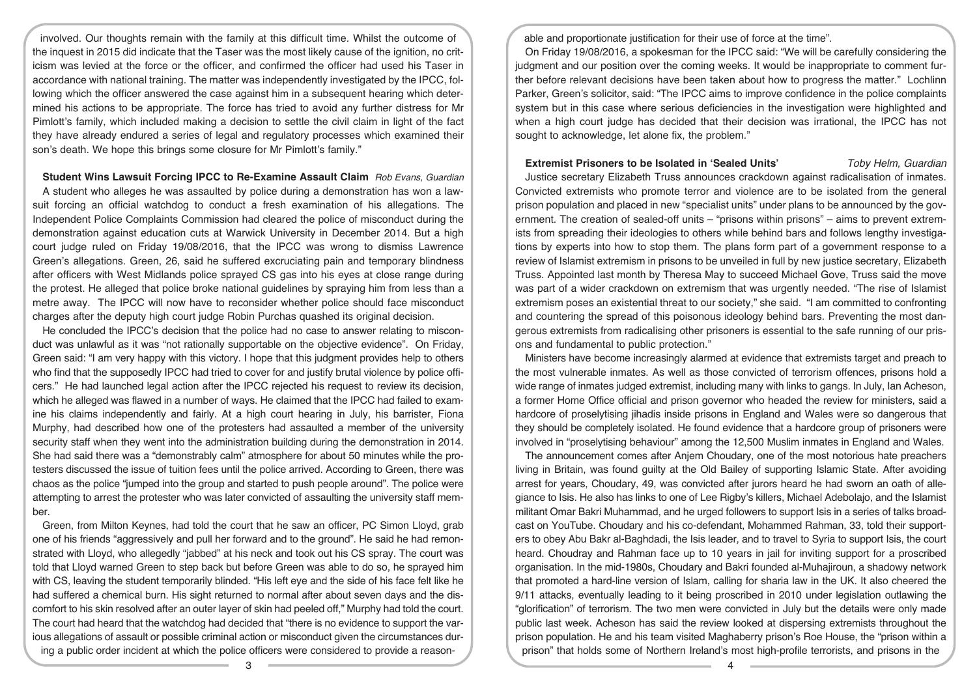involved. Our thoughts remain with the family at this difficult time. Whilst the outcome of the inquest in 2015 did indicate that the Taser was the most likely cause of the ignition, no criticism was levied at the force or the officer, and confirmed the officer had used his Taser in accordance with national training. The matter was independently investigated by the IPCC, following which the officer answered the case against him in a subsequent hearing which determined his actions to be appropriate. The force has tried to avoid any further distress for Mr Pimlott's family, which included making a decision to settle the civil claim in light of the fact they have already endured a series of legal and regulatory processes which examined their son's death. We hope this brings some closure for Mr Pimlott's family."

#### **Student Wins Lawsuit Forcing IPCC to Re-Examine Assault Claim** *Rob Evans, Guardian*

A student who alleges he was assaulted by police during a demonstration has won a lawsuit forcing an official watchdog to conduct a fresh examination of his allegations. The Independent Police Complaints Commission had cleared the police of misconduct during the demonstration against education cuts at Warwick University in December 2014. But a high court judge ruled on Friday 19/08/2016, that the IPCC was wrong to dismiss Lawrence Green's allegations. Green, 26, said he suffered excruciating pain and temporary blindness after officers with West Midlands police sprayed CS gas into his eyes at close range during the protest. He alleged that police broke national guidelines by spraying him from less than a metre away. The IPCC will now have to reconsider whether police should face misconduct charges after the deputy high court judge Robin Purchas quashed its original decision.

He concluded the IPCC's decision that the police had no case to answer relating to misconduct was unlawful as it was "not rationally supportable on the objective evidence". On Friday, Green said: "I am very happy with this victory. I hope that this judgment provides help to others who find that the supposedly IPCC had tried to cover for and justify brutal violence by police officers." He had launched legal action after the IPCC rejected his request to review its decision, which he alleged was flawed in a number of ways. He claimed that the IPCC had failed to examine his claims independently and fairly. At a high court hearing in July, his barrister, Fiona Murphy, had described how one of the protesters had assaulted a member of the university security staff when they went into the administration building during the demonstration in 2014. She had said there was a "demonstrably calm" atmosphere for about 50 minutes while the protesters discussed the issue of tuition fees until the police arrived. According to Green, there was chaos as the police "jumped into the group and started to push people around". The police were attempting to arrest the protester who was later convicted of assaulting the university staff member.

Green, from Milton Keynes, had told the court that he saw an officer, PC Simon Lloyd, grab one of his friends "aggressively and pull her forward and to the ground". He said he had remonstrated with Lloyd, who allegedly "jabbed" at his neck and took out his CS spray. The court was told that Lloyd warned Green to step back but before Green was able to do so, he sprayed him with CS, leaving the student temporarily blinded. "His left eye and the side of his face felt like he had suffered a chemical burn. His sight returned to normal after about seven days and the discomfort to his skin resolved after an outer layer of skin had peeled off," Murphy had told the court. The court had heard that the watchdog had decided that "there is no evidence to support the various allegations of assault or possible criminal action or misconduct given the circumstances during a public order incident at which the police officers were considered to provide a reasonable and proportionate justification for their use of force at the time".

On Friday 19/08/2016, a spokesman for the IPCC said: "We will be carefully considering the judgment and our position over the coming weeks. It would be inappropriate to comment further before relevant decisions have been taken about how to progress the matter." Lochlinn Parker, Green's solicitor, said: "The IPCC aims to improve confidence in the police complaints system but in this case where serious deficiencies in the investigation were highlighted and when a high court judge has decided that their decision was irrational, the IPCC has not sought to acknowledge, let alone fix, the problem."

#### **Extremist Prisoners to be Isolated in 'Sealed Units'** *Toby Helm, Guardian*

Justice secretary Elizabeth Truss announces crackdown against radicalisation of inmates. Convicted extremists who promote terror and violence are to be isolated from the general prison population and placed in new "specialist units" under plans to be announced by the government. The creation of sealed-off units – "prisons within prisons" – aims to prevent extremists from spreading their ideologies to others while behind bars and follows lengthy investigations by experts into how to stop them. The plans form part of a government response to a review of Islamist extremism in prisons to be unveiled in full by new justice secretary, Elizabeth Truss. Appointed last month by Theresa May to succeed Michael Gove, Truss said the move was part of a wider crackdown on extremism that was urgently needed. "The rise of Islamist extremism poses an existential threat to our society," she said. "I am committed to confronting and countering the spread of this poisonous ideology behind bars. Preventing the most dangerous extremists from radicalising other prisoners is essential to the safe running of our prisons and fundamental to public protection."

Ministers have become increasingly alarmed at evidence that extremists target and preach to the most vulnerable inmates. As well as those convicted of terrorism offences, prisons hold a wide range of inmates judged extremist, including many with links to gangs. In July, Ian Acheson, a former Home Office official and prison governor who headed the review for ministers, said a hardcore of proselytising jihadis inside prisons in England and Wales were so dangerous that they should be completely isolated. He found evidence that a hardcore group of prisoners were involved in "proselytising behaviour" among the 12,500 Muslim inmates in England and Wales.

The announcement comes after Anjem Choudary, one of the most notorious hate preachers living in Britain, was found guilty at the Old Bailey of supporting Islamic State. After avoiding arrest for years, Choudary, 49, was convicted after jurors heard he had sworn an oath of allegiance to Isis. He also has links to one of Lee Rigby's killers, Michael Adebolajo, and the Islamist militant Omar Bakri Muhammad, and he urged followers to support Isis in a series of talks broadcast on YouTube. Choudary and his co-defendant, Mohammed Rahman, 33, told their supporters to obey Abu Bakr al-Baghdadi, the Isis leader, and to travel to Syria to support Isis, the court heard. Choudray and Rahman face up to 10 years in jail for inviting support for a proscribed organisation. In the mid-1980s, Choudary and Bakri founded al-Muhajiroun, a shadowy network that promoted a hard-line version of Islam, calling for sharia law in the UK. It also cheered the 9/11 attacks, eventually leading to it being proscribed in 2010 under legislation outlawing the "glorification" of terrorism. The two men were convicted in July but the details were only made public last week. Acheson has said the review looked at dispersing extremists throughout the prison population. He and his team visited Maghaberry prison's Roe House, the "prison within a prison" that holds some of Northern Ireland's most high-profile terrorists, and prisons in the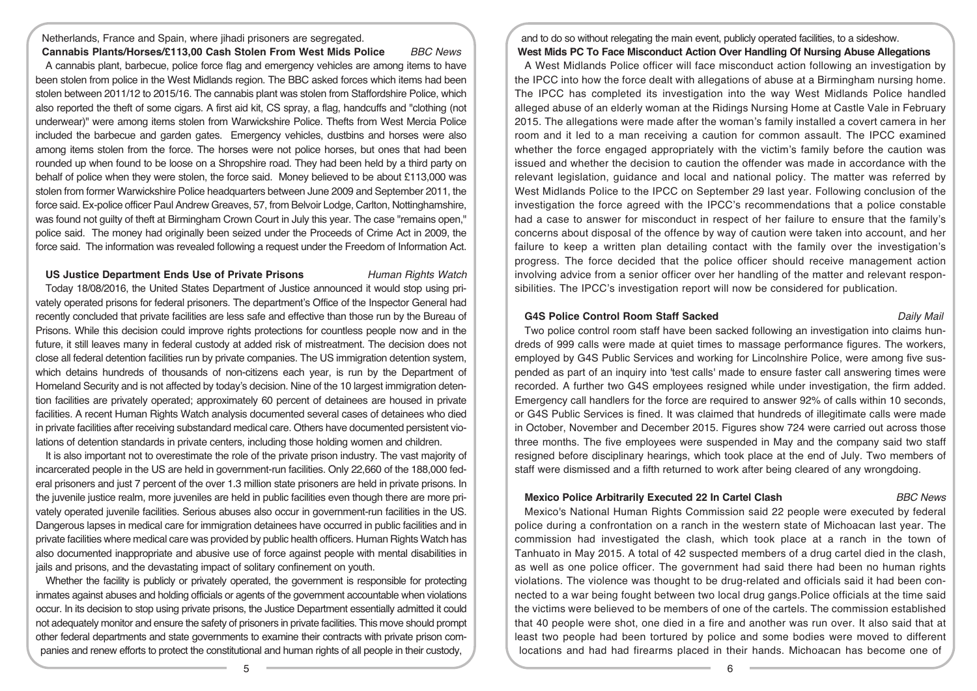Netherlands, France and Spain, where jihadi prisoners are segregated.

**Cannabis Plants/Horses/£113,00 Cash Stolen From West Mids Police** *BBC News* A cannabis plant, barbecue, police force flag and emergency vehicles are among items to have been stolen from police in the West Midlands region. The BBC asked forces which items had been stolen between 2011/12 to 2015/16. The cannabis plant was stolen from Staffordshire Police, which also reported the theft of some cigars. A first aid kit, CS spray, a flag, handcuffs and "clothing (not underwear)" were among items stolen from Warwickshire Police. Thefts from West Mercia Police included the barbecue and garden gates. Emergency vehicles, dustbins and horses were also among items stolen from the force. The horses were not police horses, but ones that had been rounded up when found to be loose on a Shropshire road. They had been held by a third party on behalf of police when they were stolen, the force said. Money believed to be about £113,000 was stolen from former Warwickshire Police headquarters between June 2009 and September 2011, the force said. Ex-police officer Paul Andrew Greaves, 57, from Belvoir Lodge, Carlton, Nottinghamshire, was found not guilty of theft at Birmingham Crown Court in July this year. The case "remains open," police said. The money had originally been seized under the Proceeds of Crime Act in 2009, the force said. The information was revealed following a request under the Freedom of Information Act.

# **US Justice Department Ends Use of Private Prisons** *Human Rights Watch*

Today 18/08/2016, the United States Department of Justice announced it would stop using privately operated prisons for federal prisoners. The department's Office of the Inspector General had recently concluded that private facilities are less safe and effective than those run by the Bureau of Prisons. While this decision could improve rights protections for countless people now and in the future, it still leaves many in federal custody at added risk of mistreatment. The decision does not close all federal detention facilities run by private companies. The US immigration detention system, which detains hundreds of thousands of non-citizens each year, is run by the Department of Homeland Security and is not affected by today's decision. Nine of the 10 largest immigration detention facilities are privately operated; approximately 60 percent of detainees are housed in private facilities. A recent Human Rights Watch analysis documented several cases of detainees who died in private facilities after receiving substandard medical care. Others have documented persistent violations of detention standards in private centers, including those holding women and children.

It is also important not to overestimate the role of the private prison industry. The vast majority of incarcerated people in the US are held in government-run facilities. Only 22,660 of the 188,000 federal prisoners and just 7 percent of the over 1.3 million state prisoners are held in private prisons. In the juvenile justice realm, more juveniles are held in public facilities even though there are more privately operated juvenile facilities. Serious abuses also occur in government-run facilities in the US. Dangerous lapses in medical care for immigration detainees have occurred in public facilities and in private facilities where medical care was provided by public health officers. Human Rights Watch has also documented inappropriate and abusive use of force against people with mental disabilities in jails and prisons, and the devastating impact of solitary confinement on youth.

Whether the facility is publicly or privately operated, the government is responsible for protecting inmates against abuses and holding officials or agents of the government accountable when violations occur. In its decision to stop using private prisons, the Justice Department essentially admitted it could not adequately monitor and ensure the safety of prisoners in private facilities. This move should prompt other federal departments and state governments to examine their contracts with private prison companies and renew efforts to protect the constitutional and human rights of all people in their custody,

and to do so without relegating the main event, publicly operated facilities, to a sideshow. **West Mids PC To Face Misconduct Action Over Handling Of Nursing Abuse Allegations**

A West Midlands Police officer will face misconduct action following an investigation by the IPCC into how the force dealt with allegations of abuse at a Birmingham nursing home. The IPCC has completed its investigation into the way West Midlands Police handled alleged abuse of an elderly woman at the Ridings Nursing Home at Castle Vale in February 2015. The allegations were made after the woman's family installed a covert camera in her room and it led to a man receiving a caution for common assault. The IPCC examined whether the force engaged appropriately with the victim's family before the caution was issued and whether the decision to caution the offender was made in accordance with the relevant legislation, guidance and local and national policy. The matter was referred by West Midlands Police to the IPCC on September 29 last year. Following conclusion of the investigation the force agreed with the IPCC's recommendations that a police constable had a case to answer for misconduct in respect of her failure to ensure that the family's concerns about disposal of the offence by way of caution were taken into account, and her failure to keep a written plan detailing contact with the family over the investigation's progress. The force decided that the police officer should receive management action involving advice from a senior officer over her handling of the matter and relevant responsibilities. The IPCC's investigation report will now be considered for publication.

# **G4S Police Control Room Staff Sacked** *Daily Mail*

Two police control room staff have been sacked following an investigation into claims hundreds of 999 calls were made at quiet times to massage performance figures. The workers, employed by G4S Public Services and working for Lincolnshire Police, were among five suspended as part of an inquiry into 'test calls' made to ensure faster call answering times were recorded. A further two G4S employees resigned while under investigation, the firm added. Emergency call handlers for the force are required to answer 92% of calls within 10 seconds, or G4S Public Services is fined. It was claimed that hundreds of illegitimate calls were made in October, November and December 2015. Figures show 724 were carried out across those three months. The five employees were suspended in May and the company said two staff resigned before disciplinary hearings, which took place at the end of July. Two members of staff were dismissed and a fifth returned to work after being cleared of any wrongdoing.

### **Mexico Police Arbitrarily Executed 22 In Cartel Clash** *BBC News*

Mexico's National Human Rights Commission said 22 people were executed by federal police during a confrontation on a ranch in the western state of Michoacan last year. The commission had investigated the clash, which took place at a ranch in the town of Tanhuato in May 2015. A total of 42 suspected members of a drug cartel died in the clash, as well as one police officer. The government had said there had been no human rights violations. The violence was thought to be drug-related and officials said it had been connected to a war being fought between two local drug gangs.Police officials at the time said the victims were believed to be members of one of the cartels. The commission established that 40 people were shot, one died in a fire and another was run over. It also said that at least two people had been tortured by police and some bodies were moved to different locations and had had firearms placed in their hands. Michoacan has become one of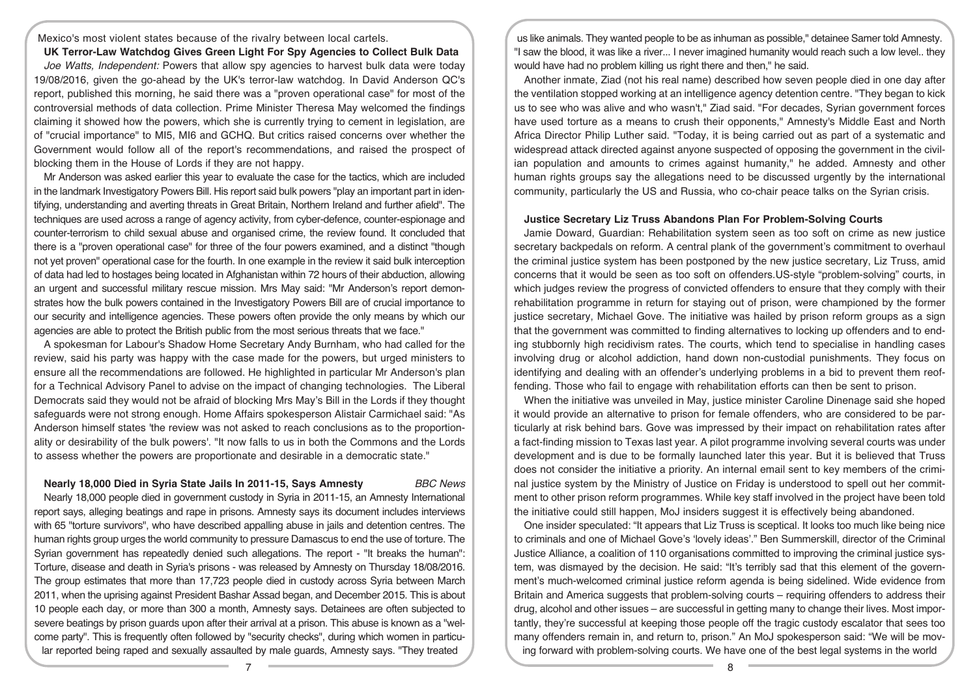Mexico's most violent states because of the rivalry between local cartels.

**UK Terror-Law Watchdog Gives Green Light For Spy Agencies to Collect Bulk Data** *Joe Watts, Independent:* Powers that allow spy agencies to harvest bulk data were today 19/08/2016, given the go-ahead by the UK's terror-law watchdog. In David Anderson QC's report, published this morning, he said there was a "proven operational case" for most of the controversial methods of data collection. Prime Minister Theresa May welcomed the findings claiming it showed how the powers, which she is currently trying to cement in legislation, are of "crucial importance" to MI5, MI6 and GCHQ. But critics raised concerns over whether the Government would follow all of the report's recommendations, and raised the prospect of blocking them in the House of Lords if they are not happy.

Mr Anderson was asked earlier this year to evaluate the case for the tactics, which are included in the landmark Investigatory Powers Bill. His report said bulk powers "play an important part in identifying, understanding and averting threats in Great Britain, Northern Ireland and further afield". The techniques are used across a range of agency activity, from cyber-defence, counter-espionage and counter-terrorism to child sexual abuse and organised crime, the review found. It concluded that there is a "proven operational case" for three of the four powers examined, and a distinct "though not yet proven" operational case for the fourth. In one example in the review it said bulk interception of data had led to hostages being located in Afghanistan within 72 hours of their abduction, allowing an urgent and successful military rescue mission. Mrs May said: "Mr Anderson's report demonstrates how the bulk powers contained in the Investigatory Powers Bill are of crucial importance to our security and intelligence agencies. These powers often provide the only means by which our agencies are able to protect the British public from the most serious threats that we face."

A spokesman for Labour's Shadow Home Secretary Andy Burnham, who had called for the review, said his party was happy with the case made for the powers, but urged ministers to ensure all the recommendations are followed. He highlighted in particular Mr Anderson's plan for a Technical Advisory Panel to advise on the impact of changing technologies. The Liberal Democrats said they would not be afraid of blocking Mrs May's Bill in the Lords if they thought safeguards were not strong enough. Home Affairs spokesperson Alistair Carmichael said: "As Anderson himself states 'the review was not asked to reach conclusions as to the proportionality or desirability of the bulk powers'. "It now falls to us in both the Commons and the Lords to assess whether the powers are proportionate and desirable in a democratic state."

#### **Nearly 18,000 Died in Syria State Jails In 2011-15, Says Amnesty** *BBC News*

Nearly 18,000 people died in government custody in Syria in 2011-15, an Amnesty International report says, alleging beatings and rape in prisons. Amnesty says its document includes interviews with 65 "torture survivors", who have described appalling abuse in jails and detention centres. The human rights group urges the world community to pressure Damascus to end the use of torture. The Syrian government has repeatedly denied such allegations. The report - "It breaks the human": Torture, disease and death in Syria's prisons - was released by Amnesty on Thursday 18/08/2016. The group estimates that more than 17,723 people died in custody across Syria between March 2011, when the uprising against President Bashar Assad began, and December 2015. This is about 10 people each day, or more than 300 a month, Amnesty says. Detainees are often subjected to severe beatings by prison guards upon after their arrival at a prison. This abuse is known as a "welcome party". This is frequently often followed by "security checks", during which women in particular reported being raped and sexually assaulted by male guards, Amnesty says. "They treated

us like animals. They wanted people to be as inhuman as possible," detainee Samer told Amnesty. "I saw the blood, it was like a river... I never imagined humanity would reach such a low level.. they would have had no problem killing us right there and then," he said.

Another inmate, Ziad (not his real name) described how seven people died in one day after the ventilation stopped working at an intelligence agency detention centre. "They began to kick us to see who was alive and who wasn't," Ziad said. "For decades, Syrian government forces have used torture as a means to crush their opponents," Amnesty's Middle East and North Africa Director Philip Luther said. "Today, it is being carried out as part of a systematic and widespread attack directed against anyone suspected of opposing the government in the civilian population and amounts to crimes against humanity," he added. Amnesty and other human rights groups say the allegations need to be discussed urgently by the international community, particularly the US and Russia, who co-chair peace talks on the Syrian crisis.

#### **Justice Secretary Liz Truss Abandons Plan For Problem-Solving Courts**

Jamie Doward, Guardian: Rehabilitation system seen as too soft on crime as new justice secretary backpedals on reform. A central plank of the government's commitment to overhaul the criminal justice system has been postponed by the new justice secretary, Liz Truss, amid concerns that it would be seen as too soft on offenders.US-style "problem-solving" courts, in which judges review the progress of convicted offenders to ensure that they comply with their rehabilitation programme in return for staying out of prison, were championed by the former justice secretary, Michael Gove. The initiative was hailed by prison reform groups as a sign that the government was committed to finding alternatives to locking up offenders and to ending stubbornly high recidivism rates. The courts, which tend to specialise in handling cases involving drug or alcohol addiction, hand down non-custodial punishments. They focus on identifying and dealing with an offender's underlying problems in a bid to prevent them reoffending. Those who fail to engage with rehabilitation efforts can then be sent to prison.

When the initiative was unveiled in May, justice minister Caroline Dinenage said she hoped it would provide an alternative to prison for female offenders, who are considered to be particularly at risk behind bars. Gove was impressed by their impact on rehabilitation rates after a fact-finding mission to Texas last year. A pilot programme involving several courts was under development and is due to be formally launched later this year. But it is believed that Truss does not consider the initiative a priority. An internal email sent to key members of the criminal justice system by the Ministry of Justice on Friday is understood to spell out her commitment to other prison reform programmes. While key staff involved in the project have been told the initiative could still happen, MoJ insiders suggest it is effectively being abandoned.

One insider speculated: "It appears that Liz Truss is sceptical. It looks too much like being nice to criminals and one of Michael Gove's 'lovely ideas'." Ben Summerskill, director of the Criminal Justice Alliance, a coalition of 110 organisations committed to improving the criminal justice system, was dismayed by the decision. He said: "It's terribly sad that this element of the government's much-welcomed criminal justice reform agenda is being sidelined. Wide evidence from Britain and America suggests that problem-solving courts – requiring offenders to address their drug, alcohol and other issues – are successful in getting many to change their lives. Most importantly, they're successful at keeping those people off the tragic custody escalator that sees too many offenders remain in, and return to, prison." An MoJ spokesperson said: "We will be moving forward with problem-solving courts. We have one of the best legal systems in the world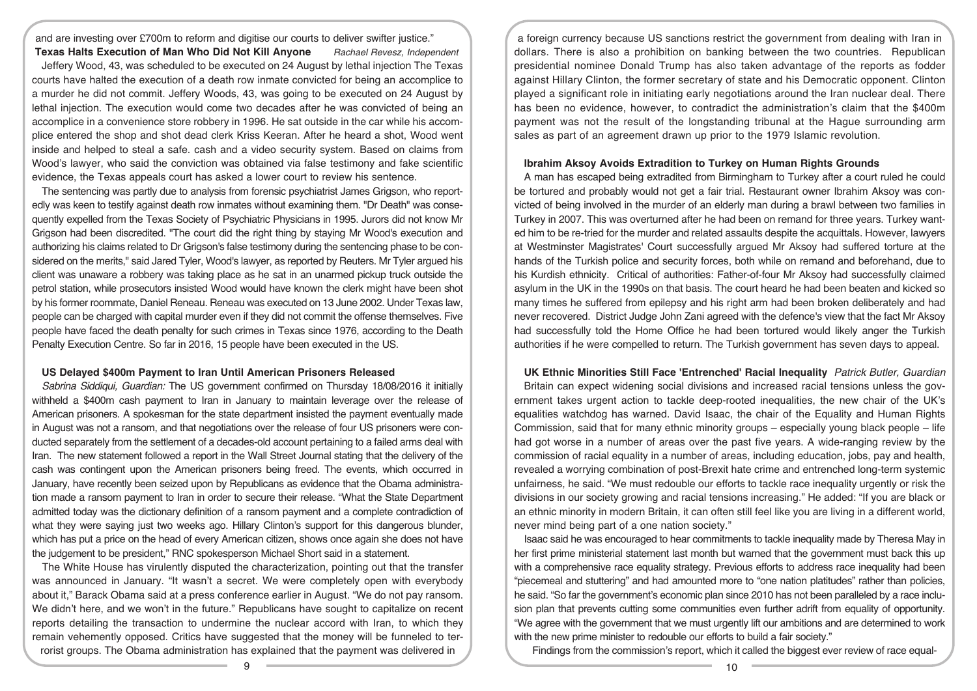and are investing over £700m to reform and digitise our courts to deliver swifter justice." **Texas Halts Execution of Man Who Did Not Kill Anyone** *Rachael Revesz, Independent*

Jeffery Wood, 43, was scheduled to be executed on 24 August by lethal injection The Texas courts have halted the execution of a death row inmate convicted for being an accomplice to a murder he did not commit. Jeffery Woods, 43, was going to be executed on 24 August by lethal injection. The execution would come two decades after he was convicted of being an accomplice in a convenience store robbery in 1996. He sat outside in the car while his accomplice entered the shop and shot dead clerk Kriss Keeran. After he heard a shot, Wood went inside and helped to steal a safe. cash and a video security system. Based on claims from Wood's lawyer, who said the conviction was obtained via false testimony and fake scientific evidence, the Texas appeals court has asked a lower court to review his sentence.

The sentencing was partly due to analysis from forensic psychiatrist James Grigson, who reportedly was keen to testify against death row inmates without examining them. "Dr Death" was consequently expelled from the Texas Society of Psychiatric Physicians in 1995. Jurors did not know Mr Grigson had been discredited. "The court did the right thing by staying Mr Wood's execution and authorizing his claims related to Dr Grigson's false testimony during the sentencing phase to be considered on the merits," said Jared Tyler, Wood's lawyer, as reported by Reuters. Mr Tyler argued his client was unaware a robbery was taking place as he sat in an unarmed pickup truck outside the petrol station, while prosecutors insisted Wood would have known the clerk might have been shot by his former roommate, Daniel Reneau. Reneau was executed on 13 June 2002. Under Texas law, people can be charged with capital murder even if they did not commit the offense themselves. Five people have faced the death penalty for such crimes in Texas since 1976, according to the Death Penalty Execution Centre. So far in 2016, 15 people have been executed in the US.

### **US Delayed \$400m Payment to Iran Until American Prisoners Released**

*Sabrina Siddiqui, Guardian:* The US government confirmed on Thursday 18/08/2016 it initially withheld a \$400m cash payment to Iran in January to maintain leverage over the release of American prisoners. A spokesman for the state department insisted the payment eventually made in August was not a ransom, and that negotiations over the release of four US prisoners were conducted separately from the settlement of a decades-old account pertaining to a failed arms deal with Iran. The new statement followed a report in the Wall Street Journal stating that the delivery of the cash was contingent upon the American prisoners being freed. The events, which occurred in January, have recently been seized upon by Republicans as evidence that the Obama administration made a ransom payment to Iran in order to secure their release. "What the State Department admitted today was the dictionary definition of a ransom payment and a complete contradiction of what they were saying just two weeks ago. Hillary Clinton's support for this dangerous blunder, which has put a price on the head of every American citizen, shows once again she does not have the judgement to be president," RNC spokesperson Michael Short said in a statement.

The White House has virulently disputed the characterization, pointing out that the transfer was announced in January. "It wasn't a secret. We were completely open with everybody about it," Barack Obama said at a press conference earlier in August. "We do not pay ransom. We didn't here, and we won't in the future." Republicans have sought to capitalize on recent reports detailing the transaction to undermine the nuclear accord with Iran, to which they remain vehemently opposed. Critics have suggested that the money will be funneled to terrorist groups. The Obama administration has explained that the payment was delivered in

a foreign currency because US sanctions restrict the government from dealing with Iran in dollars. There is also a prohibition on banking between the two countries. Republican presidential nominee Donald Trump has also taken advantage of the reports as fodder against Hillary Clinton, the former secretary of state and his Democratic opponent. Clinton played a significant role in initiating early negotiations around the Iran nuclear deal. There has been no evidence, however, to contradict the administration's claim that the \$400m payment was not the result of the longstanding tribunal at the Hague surrounding arm sales as part of an agreement drawn up prior to the 1979 Islamic revolution.

#### **Ibrahim Aksoy Avoids Extradition to Turkey on Human Rights Grounds**

A man has escaped being extradited from Birmingham to Turkey after a court ruled he could be tortured and probably would not get a fair trial. Restaurant owner Ibrahim Aksoy was convicted of being involved in the murder of an elderly man during a brawl between two families in Turkey in 2007. This was overturned after he had been on remand for three years. Turkey wanted him to be re-tried for the murder and related assaults despite the acquittals. However, lawyers at Westminster Magistrates' Court successfully argued Mr Aksoy had suffered torture at the hands of the Turkish police and security forces, both while on remand and beforehand, due to his Kurdish ethnicity. Critical of authorities: Father-of-four Mr Aksoy had successfully claimed asylum in the UK in the 1990s on that basis. The court heard he had been beaten and kicked so many times he suffered from epilepsy and his right arm had been broken deliberately and had never recovered. District Judge John Zani agreed with the defence's view that the fact Mr Aksoy had successfully told the Home Office he had been tortured would likely anger the Turkish authorities if he were compelled to return. The Turkish government has seven days to appeal.

**UK Ethnic Minorities Still Face 'Entrenched' Racial Inequality** *Patrick Butler, Guardian* Britain can expect widening social divisions and increased racial tensions unless the government takes urgent action to tackle deep-rooted inequalities, the new chair of the UK's equalities watchdog has warned. David Isaac, the chair of the Equality and Human Rights Commission, said that for many ethnic minority groups – especially young black people – life had got worse in a number of areas over the past five years. A wide-ranging review by the commission of racial equality in a number of areas, including education, jobs, pay and health, revealed a worrying combination of post-Brexit hate crime and entrenched long-term systemic unfairness, he said. "We must redouble our efforts to tackle race inequality urgently or risk the divisions in our society growing and racial tensions increasing." He added: "If you are black or an ethnic minority in modern Britain, it can often still feel like you are living in a different world, never mind being part of a one nation society."

Isaac said he was encouraged to hear commitments to tackle inequality made by Theresa May in her first prime ministerial statement last month but warned that the government must back this up with a comprehensive race equality strategy. Previous efforts to address race inequality had been "piecemeal and stuttering" and had amounted more to "one nation platitudes" rather than policies, he said. "So far the government's economic plan since 2010 has not been paralleled by a race inclusion plan that prevents cutting some communities even further adrift from equality of opportunity. "We agree with the government that we must urgently lift our ambitions and are determined to work with the new prime minister to redouble our efforts to build a fair society."

Findings from the commission's report, which it called the biggest ever review of race equal-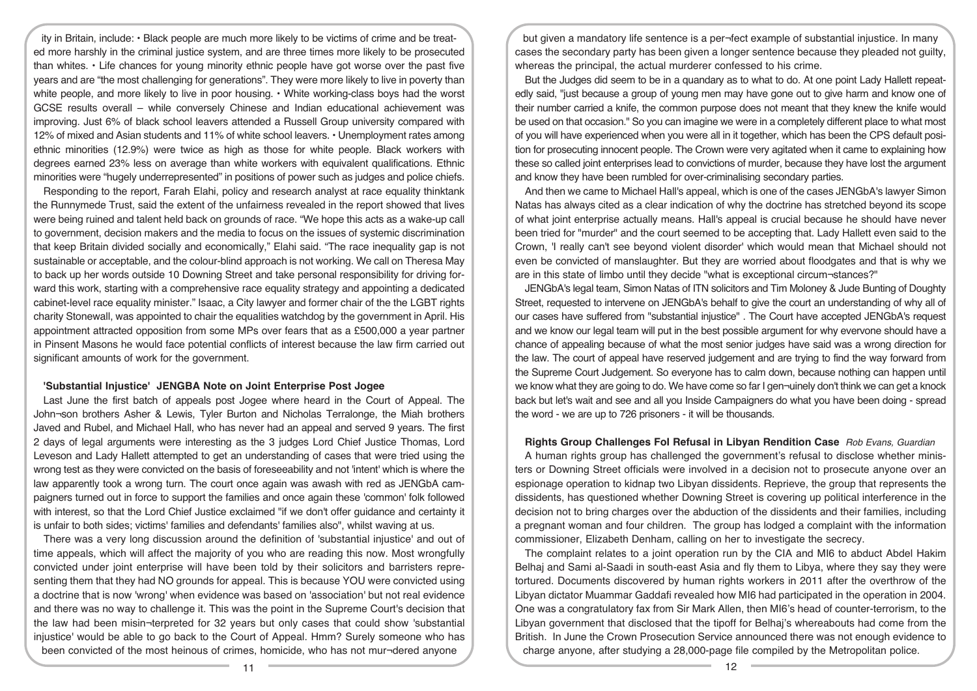ity in Britain, include: • Black people are much more likely to be victims of crime and be treated more harshly in the criminal justice system, and are three times more likely to be prosecuted than whites. • Life chances for young minority ethnic people have got worse over the past five years and are "the most challenging for generations". They were more likely to live in poverty than white people, and more likely to live in poor housing. • White working-class boys had the worst GCSE results overall – while conversely Chinese and Indian educational achievement was improving. Just 6% of black school leavers attended a Russell Group university compared with 12% of mixed and Asian students and 11% of white school leavers. • Unemployment rates among ethnic minorities (12.9%) were twice as high as those for white people. Black workers with degrees earned 23% less on average than white workers with equivalent qualifications. Ethnic minorities were "hugely underrepresented" in positions of power such as judges and police chiefs.

Responding to the report, Farah Elahi, policy and research analyst at race equality thinktank the Runnymede Trust, said the extent of the unfairness revealed in the report showed that lives were being ruined and talent held back on grounds of race. "We hope this acts as a wake-up call to government, decision makers and the media to focus on the issues of systemic discrimination that keep Britain divided socially and economically," Elahi said. "The race inequality gap is not sustainable or acceptable, and the colour-blind approach is not working. We call on Theresa May to back up her words outside 10 Downing Street and take personal responsibility for driving forward this work, starting with a comprehensive race equality strategy and appointing a dedicated cabinet-level race equality minister." Isaac, a City lawyer and former chair of the the LGBT rights charity Stonewall, was appointed to chair the equalities watchdog by the government in April. His appointment attracted opposition from some MPs over fears that as a £500,000 a year partner in Pinsent Masons he would face potential conflicts of interest because the law firm carried out significant amounts of work for the government.

# **'Substantial Injustice' JENGBA Note on Joint Enterprise Post Jogee**

Last June the first batch of appeals post Jogee where heard in the Court of Appeal. The John¬son brothers Asher & Lewis, Tyler Burton and Nicholas Terralonge, the Miah brothers Javed and Rubel, and Michael Hall, who has never had an appeal and served 9 years. The first 2 days of legal arguments were interesting as the 3 judges Lord Chief Justice Thomas, Lord Leveson and Lady Hallett attempted to get an understanding of cases that were tried using the wrong test as they were convicted on the basis of foreseeability and not 'intent' which is where the law apparently took a wrong turn. The court once again was awash with red as JENGbA campaigners turned out in force to support the families and once again these 'common' folk followed with interest, so that the Lord Chief Justice exclaimed "if we don't offer guidance and certainty it is unfair to both sides; victims' families and defendants' families also", whilst waving at us.

There was a very long discussion around the definition of 'substantial injustice' and out of time appeals, which will affect the majority of you who are reading this now. Most wrongfully convicted under joint enterprise will have been told by their solicitors and barristers representing them that they had NO grounds for appeal. This is because YOU were convicted using a doctrine that is now 'wrong' when evidence was based on 'association' but not real evidence and there was no way to challenge it. This was the point in the Supreme Court's decision that the law had been misin¬terpreted for 32 years but only cases that could show 'substantial injustice' would be able to go back to the Court of Appeal. Hmm? Surely someone who has been convicted of the most heinous of crimes, homicide, who has not mur¬dered anyone

but given a mandatory life sentence is a per¬fect example of substantial injustice. In many cases the secondary party has been given a longer sentence because they pleaded not guilty, whereas the principal, the actual murderer confessed to his crime.

But the Judges did seem to be in a quandary as to what to do. At one point Lady Hallett repeatedly said, "just because a group of young men may have gone out to give harm and know one of their number carried a knife, the common purpose does not meant that they knew the knife would be used on that occasion." So you can imagine we were in a completely different place to what most of you will have experienced when you were all in it together, which has been the CPS default position for prosecuting innocent people. The Crown were very agitated when it came to explaining how these so called joint enterprises lead to convictions of murder, because they have lost the argument and know they have been rumbled for over-criminalising secondary parties.

And then we came to Michael Hall's appeal, which is one of the cases JENGbA's lawyer Simon Natas has always cited as a clear indication of why the doctrine has stretched beyond its scope of what joint enterprise actually means. Hall's appeal is crucial because he should have never been tried for "murder" and the court seemed to be accepting that. Lady Hallett even said to the Crown, 'I really can't see beyond violent disorder' which would mean that Michael should not even be convicted of manslaughter. But they are worried about floodgates and that is why we are in this state of limbo until they decide "what is exceptional circum¬stances?"

JENGbA's legal team, Simon Natas of ITN solicitors and Tim Moloney & Jude Bunting of Doughty Street, requested to intervene on JENGbA's behalf to give the court an understanding of why all of our cases have suffered from "substantial injustice" . The Court have accepted JENGbA's request and we know our legal team will put in the best possible argument for why evervone should have a chance of appealing because of what the most senior judges have said was a wrong direction for the law. The court of appeal have reserved judgement and are trying to find the way forward from the Supreme Court Judgement. So everyone has to calm down, because nothing can happen until we know what they are going to do. We have come so far I gen¬uinely don't think we can get a knock back but let's wait and see and all you Inside Campaigners do what you have been doing - spread the word - we are up to 726 prisoners - it will be thousands.

# **Rights Group Challenges FoI Refusal in Libyan Rendition Case** *Rob Evans, Guardian*

A human rights group has challenged the government's refusal to disclose whether ministers or Downing Street officials were involved in a decision not to prosecute anyone over an espionage operation to kidnap two Libyan dissidents. Reprieve, the group that represents the dissidents, has questioned whether Downing Street is covering up political interference in the decision not to bring charges over the abduction of the dissidents and their families, including a pregnant woman and four children. The group has lodged a complaint with the information commissioner, Elizabeth Denham, calling on her to investigate the secrecy.

The complaint relates to a joint operation run by the CIA and MI6 to abduct Abdel Hakim Belhaj and Sami al-Saadi in south-east Asia and fly them to Libya, where they say they were tortured. Documents discovered by human rights workers in 2011 after the overthrow of the Libyan dictator Muammar Gaddafi revealed how MI6 had participated in the operation in 2004. One was a congratulatory fax from Sir Mark Allen, then MI6's head of counter-terrorism, to the Libyan government that disclosed that the tipoff for Belhaj's whereabouts had come from the British. In June the Crown Prosecution Service announced there was not enough evidence to charge anyone, after studying a 28,000-page file compiled by the Metropolitan police.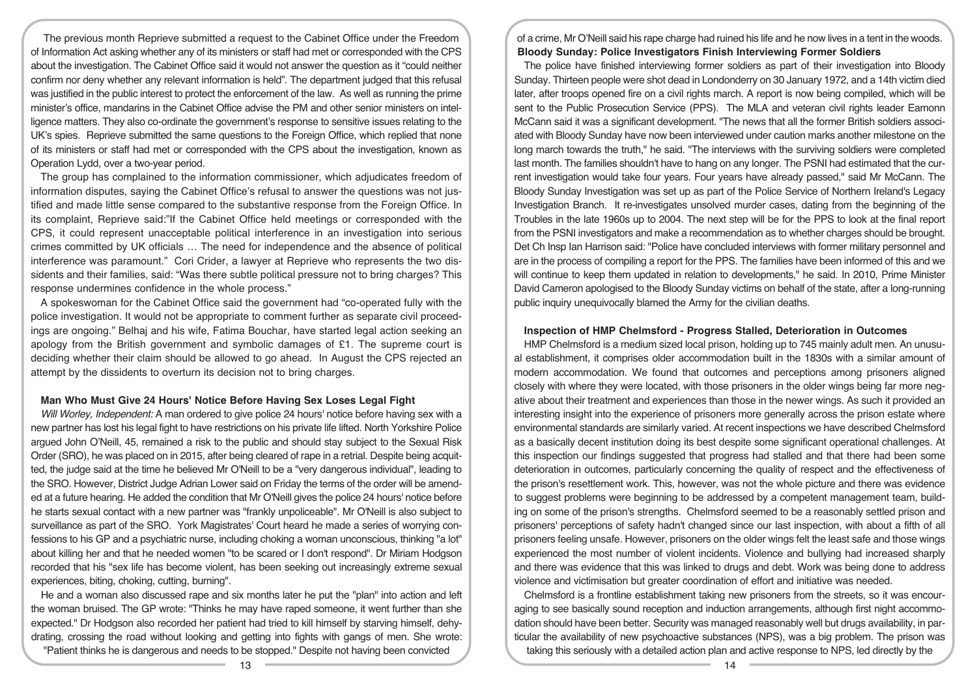The previous month Reprieve submitted a request to the Cabinet Office under the Freedom of Information Act asking whether any of its ministers or staff had met or corresponded with the CPS about the investigation. The Cabinet Office said it would not answer the question as it "could neither confirm nor deny whether any relevant information is held". The department judged that this refusal was justified in the public interest to protect the enforcement of the law. As well as running the prime minister's office, mandarins in the Cabinet Office advise the PM and other senior ministers on intelligence matters. They also co-ordinate the government's response to sensitive issues relating to the UK's spies. Reprieve submitted the same questions to the Foreign Office, which replied that none of its ministers or staff had met or corresponded with the CPS about the investigation, known as Operation Lydd, over a two-year period.

The group has complained to the information commissioner, which adjudicates freedom of information disputes, saying the Cabinet Office's refusal to answer the questions was not justified and made little sense compared to the substantive response from the Foreign Office. In its complaint, Reprieve said:"If the Cabinet Office held meetings or corresponded with the CPS, it could represent unacceptable political interference in an investigation into serious crimes committed by UK officials … The need for independence and the absence of political interference was paramount." Cori Crider, a lawyer at Reprieve who represents the two dissidents and their families, said: "Was there subtle political pressure not to bring charges? This response undermines confidence in the whole process."

A spokeswoman for the Cabinet Office said the government had "co-operated fully with the police investigation. It would not be appropriate to comment further as separate civil proceedings are ongoing." Belhaj and his wife, Fatima Bouchar, have started legal action seeking an apology from the British government and symbolic damages of £1. The supreme court is deciding whether their claim should be allowed to go ahead. In August the CPS rejected an attempt by the dissidents to overturn its decision not to bring charges.

#### **Man Who Must Give 24 Hours' Notice Before Having Sex Loses Legal Fight**

*Will Worley, Independent:* A man ordered to give police 24 hours' notice before having sex with a new partner has lost his legal fight to have restrictions on his private life lifted. North Yorkshire Police argued John O'Neill, 45, remained a risk to the public and should stay subject to the Sexual Risk Order (SRO), he was placed on in 2015, after being cleared of rape in a retrial. Despite being acquitted, the judge said at the time he believed Mr O'Neill to be a "very dangerous individual", leading to the SRO. However, District Judge Adrian Lower said on Friday the terms of the order will be amended at a future hearing. He added the condition that Mr O'Neill gives the police 24 hours' notice before he starts sexual contact with a new partner was "frankly unpoliceable". Mr O'Neill is also subject to surveillance as part of the SRO. York Magistrates' Court heard he made a series of worrying confessions to his GP and a psychiatric nurse, including choking a woman unconscious, thinking "a lot" about killing her and that he needed women "to be scared or I don't respond". Dr Miriam Hodgson recorded that his "sex life has become violent, has been seeking out increasingly extreme sexual experiences, biting, choking, cutting, burning".

He and a woman also discussed rape and six months later he put the "plan" into action and left the woman bruised. The GP wrote: "Thinks he may have raped someone, it went further than she expected." Dr Hodgson also recorded her patient had tried to kill himself by starving himself, dehydrating, crossing the road without looking and getting into fights with gangs of men. She wrote:

"Patient thinks he is dangerous and needs to be stopped." Despite not having been convicted

of a crime, Mr O'Neill said his rape charge had ruined his life and he now lives in a tent in the woods. **Bloody Sunday: Police Investigators Finish Interviewing Former Soldiers**

The police have finished interviewing former soldiers as part of their investigation into Bloody Sunday. Thirteen people were shot dead in Londonderry on 30 January 1972, and a 14th victim died later, after troops opened fire on a civil rights march. A report is now being compiled, which will be sent to the Public Prosecution Service (PPS). The MLA and veteran civil rights leader Eamonn McCann said it was a significant development. "The news that all the former British soldiers associated with Bloody Sunday have now been interviewed under caution marks another milestone on the long march towards the truth," he said. "The interviews with the surviving soldiers were completed last month. The families shouldn't have to hang on any longer. The PSNI had estimated that the current investigation would take four years. Four years have already passed," said Mr McCann. The Bloody Sunday Investigation was set up as part of the Police Service of Northern Ireland's Legacy Investigation Branch. It re-investigates unsolved murder cases, dating from the beginning of the Troubles in the late 1960s up to 2004. The next step will be for the PPS to look at the final report from the PSNI investigators and make a recommendation as to whether charges should be brought. Det Ch Insp Ian Harrison said: "Police have concluded interviews with former military personnel and are in the process of compiling a report for the PPS. The families have been informed of this and we will continue to keep them updated in relation to developments," he said. In 2010, Prime Minister David Cameron apologised to the Bloody Sunday victims on behalf of the state, after a long-running public inquiry unequivocally blamed the Army for the civilian deaths.

#### **Inspection of HMP Chelmsford - Progress Stalled, Deterioration in Outcomes**

HMP Chelmsford is a medium sized local prison, holding up to 745 mainly adult men. An unusual establishment, it comprises older accommodation built in the 1830s with a similar amount of modern accommodation. We found that outcomes and perceptions among prisoners aligned closely with where they were located, with those prisoners in the older wings being far more negative about their treatment and experiences than those in the newer wings. As such it provided an interesting insight into the experience of prisoners more generally across the prison estate where environmental standards are similarly varied. At recent inspections we have described Chelmsford as a basically decent institution doing its best despite some significant operational challenges. At this inspection our findings suggested that progress had stalled and that there had been some deterioration in outcomes, particularly concerning the quality of respect and the effectiveness of the prison's resettlement work. This, however, was not the whole picture and there was evidence to suggest problems were beginning to be addressed by a competent management team, building on some of the prison's strengths. Chelmsford seemed to be a reasonably settled prison and prisoners' perceptions of safety hadn't changed since our last inspection, with about a fifth of all prisoners feeling unsafe. However, prisoners on the older wings felt the least safe and those wings experienced the most number of violent incidents. Violence and bullying had increased sharply and there was evidence that this was linked to drugs and debt. Work was being done to address violence and victimisation but greater coordination of effort and initiative was needed.

Chelmsford is a frontline establishment taking new prisoners from the streets, so it was encouraging to see basically sound reception and induction arrangements, although first night accommodation should have been better. Security was managed reasonably well but drugs availability, in particular the availability of new psychoactive substances (NPS), was a big problem. The prison was taking this seriously with a detailed action plan and active response to NPS, led directly by the